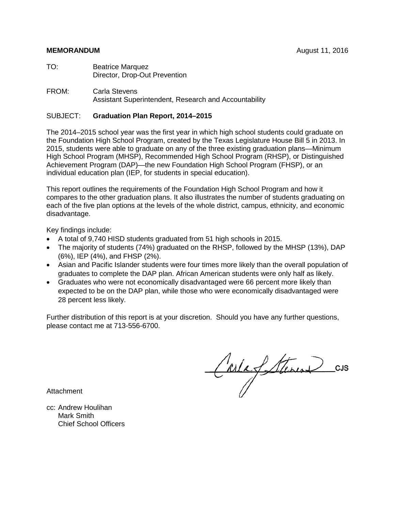#### **MEMORANDUM** August 11, 2016

- TO: Beatrice Marquez Director, Drop-Out Prevention
- FROM: Carla Stevens Assistant Superintendent, Research and Accountability

### SUBJECT: **Graduation Plan Report, 2014–2015**

The 2014–2015 school year was the first year in which high school students could graduate on the Foundation High School Program, created by the Texas Legislature House Bill 5 in 2013. In 2015, students were able to graduate on any of the three existing graduation plans—Minimum High School Program (MHSP), Recommended High School Program (RHSP), or Distinguished Achievement Program (DAP)—the new Foundation High School Program (FHSP), or an individual education plan (IEP, for students in special education).

This report outlines the requirements of the Foundation High School Program and how it compares to the other graduation plans. It also illustrates the number of students graduating on each of the five plan options at the levels of the whole district, campus, ethnicity, and economic disadvantage.

Key findings include:

- A total of 9,740 HISD students graduated from 51 high schools in 2015.
- The majority of students (74%) graduated on the RHSP, followed by the MHSP (13%), DAP (6%), IEP (4%), and FHSP (2%).
- Asian and Pacific Islander students were four times more likely than the overall population of graduates to complete the DAP plan. African American students were only half as likely.
- Graduates who were not economically disadvantaged were 66 percent more likely than expected to be on the DAP plan, while those who were economically disadvantaged were 28 percent less likely.

Further distribution of this report is at your discretion. Should you have any further questions, please contact me at 713-556-6700.

Carla Steven cu

Attachment

cc: Andrew Houlihan Mark Smith Chief School Officers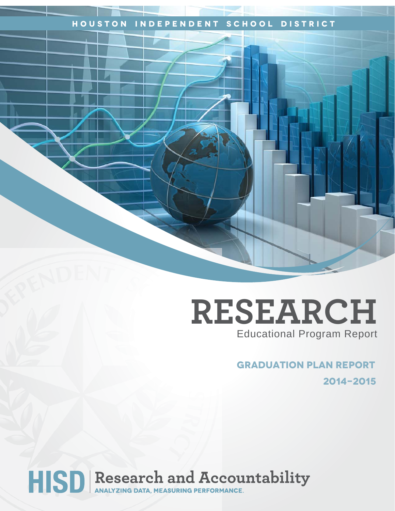## **Houston Independent School District**

# **RESEARCH** Educational Program Report

## **graduation plan report 2014-2015**

HISD Research and Accountability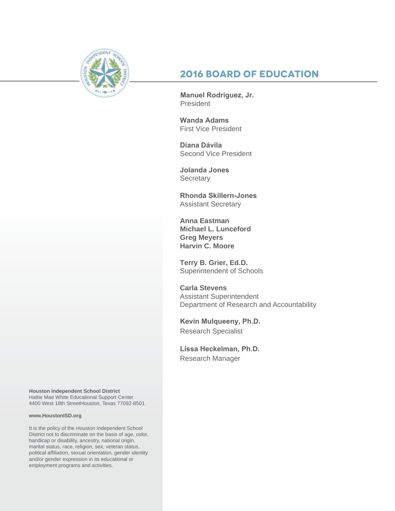

## **2016 Board of Education**

**Manuel Rodriguez, Jr.**  President

**Wanda Adams**  First Vice President

**Diana Dávila** Second Vice President

**Jolanda Jones Secretary** 

**Rhonda Skillern-Jones**  Assistant Secretary

**Anna Eastman Michael L. Lunceford Greg Meyers Harvin C. Moore**

**Terry B. Grier, Ed.D.** Superintendent of Schools

**Carla Stevens** Assistant Superintendent Department of Research and Accountability

**Kevin Mulqueeny, Ph.D.**  Research Specialist

**Lissa Heckelman, Ph.D.** Research Manager

**Houston Independent School District** Hattie Mae White Educational Support Center 4400 West 18th StreetHouston, Texas 77092-8501

#### **www.HoustonISD.org**

It is the policy of the Houston Independent School District not to discriminate on the basis of age, color, handicap or disability, ancestry, national origin, marital status, race, religion, sex, veteran status, political affiliation, sexual orientation, gender identity and/or gender expression in its educational or employment programs and activities.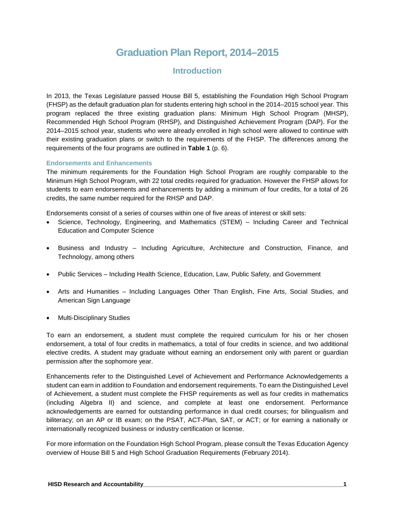## **Graduation Plan Report, 2014–2015**

## **Introduction**

In 2013, the Texas Legislature passed House Bill 5, establishing the Foundation High School Program (FHSP) as the default graduation plan for students entering high school in the 2014–2015 school year. This program replaced the three existing graduation plans: Minimum High School Program (MHSP), Recommended High School Program (RHSP), and Distinguished Achievement Program (DAP). For the 2014–2015 school year, students who were already enrolled in high school were allowed to continue with their existing graduation plans or switch to the requirements of the FHSP. The differences among the requirements of the four programs are outlined in **Table 1** (p. 6).

#### **Endorsements and Enhancements**

The minimum requirements for the Foundation High School Program are roughly comparable to the Minimum High School Program, with 22 total credits required for graduation. However the FHSP allows for students to earn endorsements and enhancements by adding a minimum of four credits, for a total of 26 credits, the same number required for the RHSP and DAP.

Endorsements consist of a series of courses within one of five areas of interest or skill sets:

- Science, Technology, Engineering, and Mathematics (STEM) Including Career and Technical Education and Computer Science
- Business and Industry Including Agriculture, Architecture and Construction, Finance, and Technology, among others
- Public Services Including Health Science, Education, Law, Public Safety, and Government
- Arts and Humanities Including Languages Other Than English, Fine Arts, Social Studies, and American Sign Language
- Multi-Disciplinary Studies

To earn an endorsement, a student must complete the required curriculum for his or her chosen endorsement, a total of four credits in mathematics, a total of four credits in science, and two additional elective credits. A student may graduate without earning an endorsement only with parent or guardian permission after the sophomore year.

Enhancements refer to the Distinguished Level of Achievement and Performance Acknowledgements a student can earn in addition to Foundation and endorsement requirements. To earn the Distinguished Level of Achievement, a student must complete the FHSP requirements as well as four credits in mathematics (including Algebra II) and science, and complete at least one endorsement. Performance acknowledgements are earned for outstanding performance in dual credit courses; for bilingualism and biliteracy; on an AP or IB exam; on the PSAT, ACT-Plan, SAT, or ACT; or for earning a nationally or internationally recognized business or industry certification or license.

For more information on the Foundation High School Program, please consult the Texas Education Agency overview of House Bill 5 and High School Graduation Requirements (February 2014).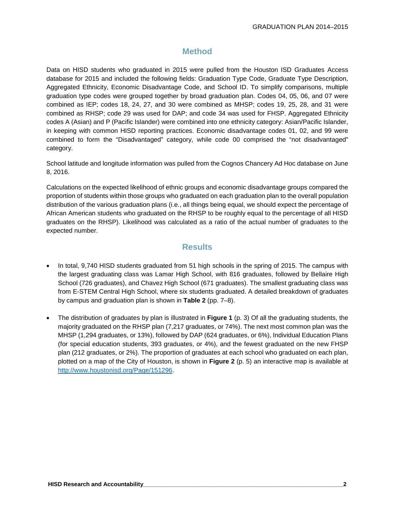## **Method**

Data on HISD students who graduated in 2015 were pulled from the Houston ISD Graduates Access database for 2015 and included the following fields: Graduation Type Code, Graduate Type Description, Aggregated Ethnicity, Economic Disadvantage Code, and School ID. To simplify comparisons, multiple graduation type codes were grouped together by broad graduation plan. Codes 04, 05, 06, and 07 were combined as IEP; codes 18, 24, 27, and 30 were combined as MHSP; codes 19, 25, 28, and 31 were combined as RHSP; code 29 was used for DAP; and code 34 was used for FHSP. Aggregated Ethnicity codes A (Asian) and P (Pacific Islander) were combined into one ethnicity category: Asian/Pacific Islander, in keeping with common HISD reporting practices. Economic disadvantage codes 01, 02, and 99 were combined to form the "Disadvantaged" category, while code 00 comprised the "not disadvantaged" category.

School latitude and longitude information was pulled from the Cognos Chancery Ad Hoc database on June 8, 2016.

Calculations on the expected likelihood of ethnic groups and economic disadvantage groups compared the proportion of students within those groups who graduated on each graduation plan to the overall population distribution of the various graduation plans (i.e., all things being equal, we should expect the percentage of African American students who graduated on the RHSP to be roughly equal to the percentage of all HISD graduates on the RHSP). Likelihood was calculated as a ratio of the actual number of graduates to the expected number.

## **Results**

- In total, 9,740 HISD students graduated from 51 high schools in the spring of 2015. The campus with the largest graduating class was Lamar High School, with 816 graduates, followed by Bellaire High School (726 graduates), and Chavez High School (671 graduates). The smallest graduating class was from E-STEM Central High School, where six students graduated. A detailed breakdown of graduates by campus and graduation plan is shown in **Table 2** (pp. 7–8).
- The distribution of graduates by plan is illustrated in **Figure 1** (p. 3) Of all the graduating students, the majority graduated on the RHSP plan (7,217 graduates, or 74%). The next most common plan was the MHSP (1,294 graduates, or 13%), followed by DAP (624 graduates, or 6%), Individual Education Plans (for special education students, 393 graduates, or 4%), and the fewest graduated on the new FHSP plan (212 graduates, or 2%). The proportion of graduates at each school who graduated on each plan, plotted on a map of the City of Houston, is shown in **Figure 2** (p. 5) an interactive map is available at [http://www.houstonisd.org/Page/151296.](http://www.houstonisd.org/Page/151296)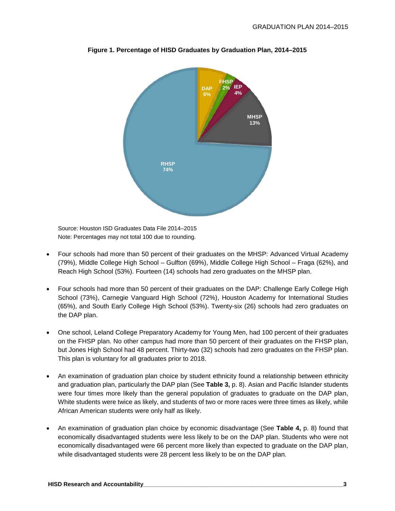

**Figure 1. Percentage of HISD Graduates by Graduation Plan, 2014–2015**

Source: Houston ISD Graduates Data File 2014–2015 Note: Percentages may not total 100 due to rounding.

- Four schools had more than 50 percent of their graduates on the MHSP: Advanced Virtual Academy (79%), Middle College High School – Gulfton (69%), Middle College High School – Fraga (62%), and Reach High School (53%). Fourteen (14) schools had zero graduates on the MHSP plan.
- Four schools had more than 50 percent of their graduates on the DAP: Challenge Early College High School (73%), Carnegie Vanguard High School (72%), Houston Academy for International Studies (65%), and South Early College High School (53%). Twenty-six (26) schools had zero graduates on the DAP plan.
- One school, Leland College Preparatory Academy for Young Men, had 100 percent of their graduates on the FHSP plan. No other campus had more than 50 percent of their graduates on the FHSP plan, but Jones High School had 48 percent. Thirty-two (32) schools had zero graduates on the FHSP plan. This plan is voluntary for all graduates prior to 2018.
- An examination of graduation plan choice by student ethnicity found a relationship between ethnicity and graduation plan, particularly the DAP plan (See **Table 3,** p. 8). Asian and Pacific Islander students were four times more likely than the general population of graduates to graduate on the DAP plan, White students were twice as likely, and students of two or more races were three times as likely, while African American students were only half as likely.
- An examination of graduation plan choice by economic disadvantage (See **Table 4,** p. 8) found that economically disadvantaged students were less likely to be on the DAP plan. Students who were not economically disadvantaged were 66 percent more likely than expected to graduate on the DAP plan, while disadvantaged students were 28 percent less likely to be on the DAP plan.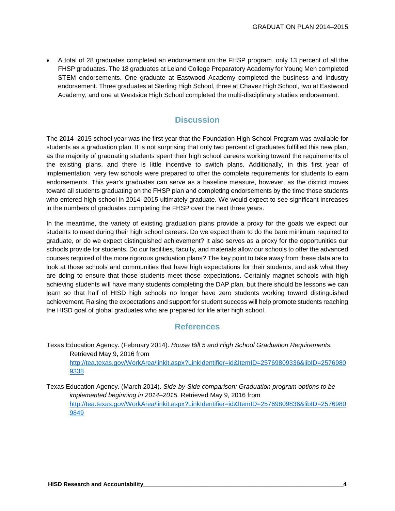• A total of 28 graduates completed an endorsement on the FHSP program, only 13 percent of all the FHSP graduates. The 18 graduates at Leland College Preparatory Academy for Young Men completed STEM endorsements. One graduate at Eastwood Academy completed the business and industry endorsement. Three graduates at Sterling High School, three at Chavez High School, two at Eastwood Academy, and one at Westside High School completed the multi-disciplinary studies endorsement.

## **Discussion**

The 2014–2015 school year was the first year that the Foundation High School Program was available for students as a graduation plan. It is not surprising that only two percent of graduates fulfilled this new plan, as the majority of graduating students spent their high school careers working toward the requirements of the existing plans, and there is little incentive to switch plans. Additionally, in this first year of implementation, very few schools were prepared to offer the complete requirements for students to earn endorsements. This year's graduates can serve as a baseline measure, however, as the district moves toward all students graduating on the FHSP plan and completing endorsements by the time those students who entered high school in 2014–2015 ultimately graduate. We would expect to see significant increases in the numbers of graduates completing the FHSP over the next three years.

In the meantime, the variety of existing graduation plans provide a proxy for the goals we expect our students to meet during their high school careers. Do we expect them to do the bare minimum required to graduate, or do we expect distinguished achievement? It also serves as a proxy for the opportunities our schools provide for students. Do our facilities, faculty, and materials allow our schools to offer the advanced courses required of the more rigorous graduation plans? The key point to take away from these data are to look at those schools and communities that have high expectations for their students, and ask what they are doing to ensure that those students meet those expectations. Certainly magnet schools with high achieving students will have many students completing the DAP plan, but there should be lessons we can learn so that half of HISD high schools no longer have zero students working toward distinguished achievement. Raising the expectations and support for student success will help promote students reaching the HISD goal of global graduates who are prepared for life after high school.

## **References**

- Texas Education Agency. (February 2014). *House Bill 5 and High School Graduation Requirements.* Retrieved May 9, 2016 from [http://tea.texas.gov/WorkArea/linkit.aspx?LinkIdentifier=id&ItemID=25769809336&libID=2576980](http://tea.texas.gov/WorkArea/linkit.aspx?LinkIdentifier=id&ItemID=25769809336&libID=25769809338) [9338](http://tea.texas.gov/WorkArea/linkit.aspx?LinkIdentifier=id&ItemID=25769809336&libID=25769809338)
- Texas Education Agency. (March 2014). *Side-by-Side comparison: Graduation program options to be implemented beginning in 2014–2015*. Retrieved May 9, 2016 from [http://tea.texas.gov/WorkArea/linkit.aspx?LinkIdentifier=id&ItemID=25769809836&libID=2576980](http://tea.texas.gov/WorkArea/linkit.aspx?LinkIdentifier=id&ItemID=25769809836&libID=25769809849) [9849](http://tea.texas.gov/WorkArea/linkit.aspx?LinkIdentifier=id&ItemID=25769809836&libID=25769809849)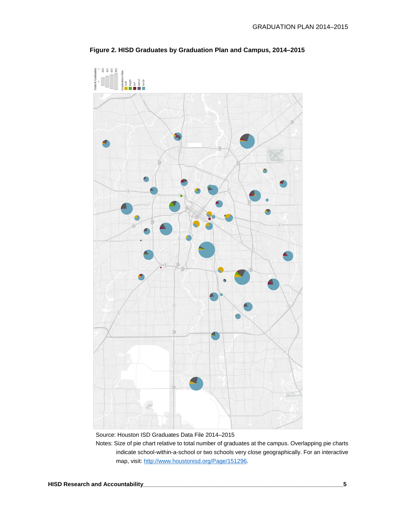

**Figure 2. HISD Graduates by Graduation Plan and Campus, 2014–2015**

Source: Houston ISD Graduates Data File 2014–2015

Notes: Size of pie chart relative to total number of graduates at the campus. Overlapping pie charts indicate school-within-a-school or two schools very close geographically. For an interactive map, visit: [http://www.houstonisd.org/Page/151296.](http://www.houstonisd.org/Page/151296)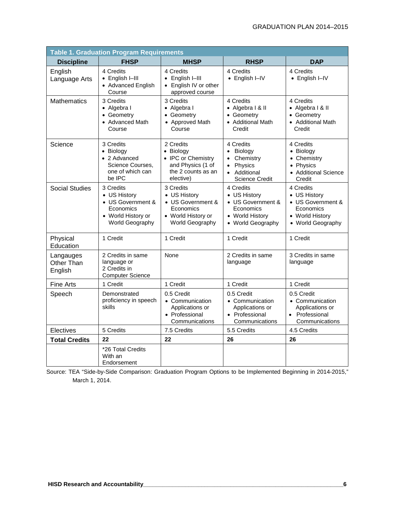| <b>Table 1. Graduation Program Requirements</b> |                                                                                                      |                                                                                                      |                                                                                                      |                                                                                                     |  |  |  |
|-------------------------------------------------|------------------------------------------------------------------------------------------------------|------------------------------------------------------------------------------------------------------|------------------------------------------------------------------------------------------------------|-----------------------------------------------------------------------------------------------------|--|--|--|
| <b>Discipline</b>                               | <b>FHSP</b>                                                                                          | <b>MHSP</b>                                                                                          | <b>RHSP</b>                                                                                          | <b>DAP</b>                                                                                          |  |  |  |
| English<br>Language Arts                        | 4 Credits<br>• English I-III<br>• Advanced English<br>Course                                         | 4 Credits<br>English I-III<br>$\bullet$<br>English IV or other<br>approved course                    | 4 Credits<br>• English I-IV                                                                          | 4 Credits<br>• English I-IV                                                                         |  |  |  |
| <b>Mathematics</b>                              | 3 Credits<br>• Algebra I<br>• Geometry<br>• Advanced Math<br>Course                                  | 3 Credits<br>• Algebra I<br>• Geometry<br>• Approved Math<br>Course                                  | 4 Credits<br>• Algebra I & II<br>• Geometry<br>• Additional Math<br>Credit                           | 4 Credits<br>• Algebra I & II<br>• Geometry<br>• Additional Math<br>Credit                          |  |  |  |
| Science                                         | 3 Credits<br>• Biology<br>• 2 Advanced<br>Science Courses,<br>one of which can<br>be IPC             | 2 Credits<br>• Biology<br>• IPC or Chemistry<br>and Physics (1 of<br>the 2 counts as an<br>elective) | 4 Credits<br>• Biology<br>Chemistry<br>Physics<br>$\bullet$<br>• Additional<br><b>Science Credit</b> | 4 Credits<br>• Biology<br>• Chemistry<br>• Physics<br>• Additional Science<br>Credit                |  |  |  |
| <b>Social Studies</b>                           | 3 Credits<br>• US History<br>• US Government &<br>Economics<br>• World History or<br>World Geography | 3 Credits<br>• US History<br>• US Government &<br>Economics<br>• World History or<br>World Geography | 4 Credits<br>• US History<br>• US Government &<br>Economics<br>• World History<br>• World Geography  | 4 Credits<br>• US History<br>• US Government &<br>Economics<br>• World History<br>• World Geography |  |  |  |
| Physical<br>Education                           | 1 Credit                                                                                             | 1 Credit                                                                                             | 1 Credit                                                                                             | 1 Credit                                                                                            |  |  |  |
| Langauges<br>Other Than<br>English              | 2 Credits in same<br>language or<br>2 Credits in<br><b>Computer Science</b>                          | None                                                                                                 | 2 Credits in same<br>language                                                                        | 3 Credits in same<br>language                                                                       |  |  |  |
| Fine Arts                                       | 1 Credit                                                                                             | 1 Credit                                                                                             | 1 Credit                                                                                             | 1 Credit                                                                                            |  |  |  |
| Speech                                          | Demonstrated<br>proficiency in speech<br>skills                                                      | 0.5 Credit<br>• Communication<br>Applications or<br>• Professional<br>Communications                 | 0.5 Credit<br>• Communication<br>Applications or<br>• Professional<br>Communications                 | 0.5 Credit<br>• Communication<br>Applications or<br>• Professional<br>Communications                |  |  |  |
| Electives                                       | 5 Credits                                                                                            | 7.5 Credits                                                                                          | 5.5 Credits                                                                                          | 4.5 Credits                                                                                         |  |  |  |
| <b>Total Credits</b>                            | 22                                                                                                   | 22                                                                                                   | 26                                                                                                   | 26                                                                                                  |  |  |  |
|                                                 | *26 Total Credits<br>With an<br>Endorsement                                                          |                                                                                                      |                                                                                                      |                                                                                                     |  |  |  |

Source: TEA "Side-by-Side Comparison: Graduation Program Options to be Implemented Beginning in 2014-2015," March 1, 2014.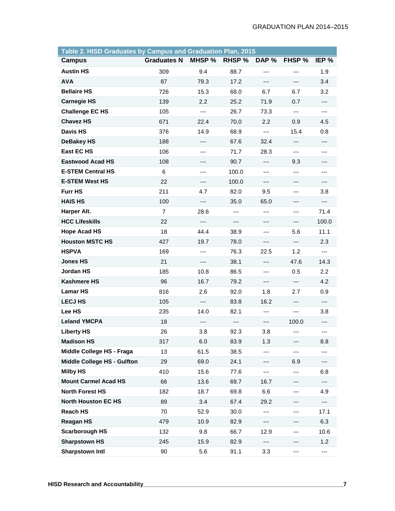| Table 2. HISD Graduates by Campus and Graduation Plan, 2015 |                    |        |               |       |        |       |
|-------------------------------------------------------------|--------------------|--------|---------------|-------|--------|-------|
| <b>Campus</b>                                               | <b>Graduates N</b> | MHSP % | <b>RHSP %</b> | DAP % | FHSP % | IEP % |
| <b>Austin HS</b>                                            | 309                | 9.4    | 88.7          | $---$ | ---    | 1.9   |
| <b>AVA</b>                                                  | 87                 | 79.3   | 17.2          | ---   | ---    | 3.4   |
| <b>Bellaire HS</b>                                          | 726                | 15.3   | 68.0          | 6.7   | 6.7    | 3.2   |
| <b>Carnegie HS</b>                                          | 139                | 2.2    | 25.2          | 71.9  | 0.7    | ---   |
| <b>Challenge EC HS</b>                                      | 105                | ---    | 26.7          | 73.3  | ---    | ---   |
| <b>Chavez HS</b>                                            | 671                | 22.4   | 70.0          | 2.2   | 0.9    | 4.5   |
| <b>Davis HS</b>                                             | 376                | 14.9   | 68.9          | $---$ | 15.4   | 0.8   |
| <b>DeBakey HS</b>                                           | 188                | ---    | 67.6          | 32.4  | ---    | ---   |
| <b>East EC HS</b>                                           | 106                | ---    | 71.7          | 28.3  | ---    | ---   |
| <b>Eastwood Acad HS</b>                                     | 108                |        | 90.7          | ---   | 9.3    | ---   |
| <b>E-STEM Central HS</b>                                    | 6                  | ---    | 100.0         | $---$ | ---    | ---   |
| <b>E-STEM West HS</b>                                       | 22                 | ---    | 100.0         | ---   | ---    | ---   |
| <b>Furr HS</b>                                              | 211                | 4.7    | 82.0          | 9.5   | ---    | 3.8   |
| <b>HAIS HS</b>                                              | 100                | ---    | 35.0          | 65.0  | ---    | ---   |
| Harper Alt.                                                 | $\overline{7}$     | 28.6   | ---           | ---   | ---    | 71.4  |
| <b>HCC Lifeskills</b>                                       | 22                 | ---    | ---           |       | ---    | 100.0 |
| <b>Hope Acad HS</b>                                         | 18                 | 44.4   | 38.9          | ---   | 5.6    | 11.1  |
| <b>Houston MSTC HS</b>                                      | 427                | 19.7   | 78.0          | ---   | ---    | 2.3   |
| <b>HSPVA</b>                                                | 169                | ---    | 76.3          | 22.5  | 1.2    | ---   |
| <b>Jones HS</b>                                             | 21                 | ---    | 38.1          | ---   | 47.6   | 14.3  |
| Jordan HS                                                   | 185                | 10.8   | 86.5          | $---$ | 0.5    | 2.2   |
| <b>Kashmere HS</b>                                          | 96                 | 16.7   | 79.2          | ---   | ---    | 4.2   |
| <b>Lamar HS</b>                                             | 816                | 2.6    | 92.0          | 1.8   | 2.7    | 0.9   |
| <b>LECJ HS</b>                                              | 105                | ---    | 83.8          | 16.2  | ---    | ---   |
| Lee HS                                                      | 235                | 14.0   | 82.1          | ---   | ---    | 3.8   |
| <b>Leland YMCPA</b>                                         | 18                 | ---    | ---           | ---   | 100.0  | ---   |
| <b>Liberty HS</b>                                           | 26                 | 3.8    | 92.3          | 3.8   | ---    | ---   |
| <b>Madison HS</b>                                           | 317                | 6.0    | 83.9          | 1.3   | ---    | 8.8   |
| Middle College HS - Fraga                                   | 13                 | 61.5   | 38.5          | ---   | ---    |       |
| <b>Middle College HS - Gulfton</b>                          | 29                 | 69.0   | 24.1          | ---   | 6.9    | ---   |
| <b>Milby HS</b>                                             | 410                | 15.6   | 77.6          | ---   | ---    | 6.8   |
| <b>Mount Carmel Acad HS</b>                                 | 66                 | 13.6   | 69.7          | 16.7  | ---    | ---   |
| <b>North Forest HS</b>                                      | 182                | 18.7   | 69.8          | 6.6   | ---    | 4.9   |
| <b>North Houston EC HS</b>                                  | 89                 | 3.4    | 67.4          | 29.2  | ---    | ---   |
| <b>Reach HS</b>                                             | 70                 | 52.9   | 30.0          | ---   | ---    | 17.1  |
| <b>Reagan HS</b>                                            | 479                | 10.9   | 82.9          |       | ---    | 6.3   |
| <b>Scarborough HS</b>                                       | 132                | 9.8    | 66.7          | 12.9  | ---    | 10.6  |
| <b>Sharpstown HS</b>                                        | 245                | 15.9   | 82.9          | ---   | ---    | 1.2   |
| <b>Sharpstown Intl</b>                                      | 90                 | 5.6    | 91.1          | 3.3   | ---    | ---   |